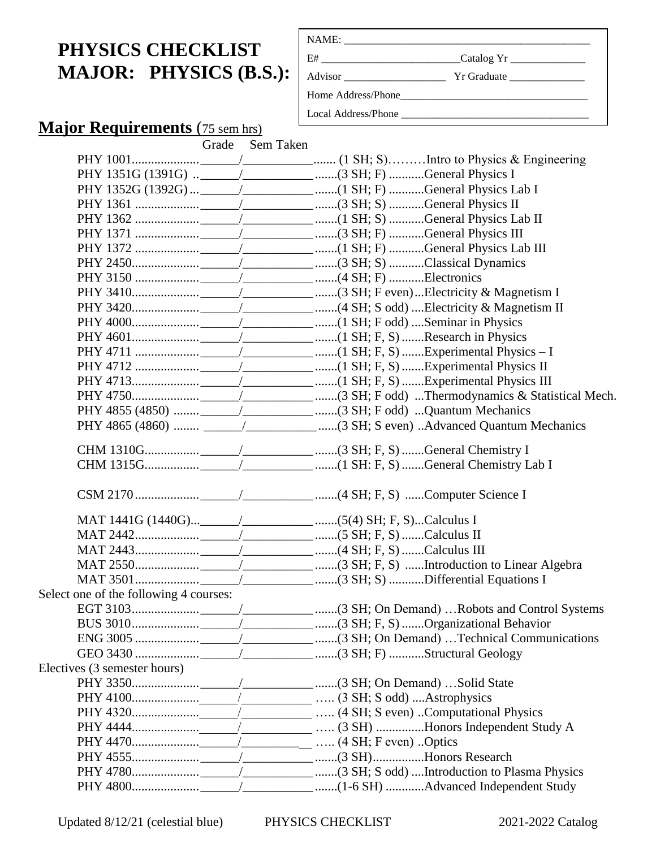## **PHYSICS CHECKLIST MAJOR: PHYSICS (B.S.):**

| E#                  |                                                            |
|---------------------|------------------------------------------------------------|
|                     | $Yr$ Graduate $\_\_\_\_\_\_\_\_\_\_\_\_\_\_\_\_\_\_\_\_\_$ |
|                     |                                                            |
| Local Address/Phone |                                                            |

# **Major Requirements** (75 sem hrs)<br>Grade Ser

Sem Taken

|                                        | PHY 1351G (1391G)  ___________________________(3 SH; F) General Physics I     |
|----------------------------------------|-------------------------------------------------------------------------------|
|                                        | PHY 1352G (1392G)  ___________________________(1 SH; F) General Physics Lab I |
|                                        |                                                                               |
|                                        |                                                                               |
|                                        |                                                                               |
|                                        |                                                                               |
|                                        |                                                                               |
|                                        |                                                                               |
|                                        |                                                                               |
|                                        |                                                                               |
|                                        |                                                                               |
|                                        |                                                                               |
|                                        |                                                                               |
|                                        |                                                                               |
|                                        |                                                                               |
|                                        |                                                                               |
|                                        |                                                                               |
|                                        |                                                                               |
|                                        |                                                                               |
|                                        |                                                                               |
|                                        |                                                                               |
|                                        |                                                                               |
|                                        |                                                                               |
|                                        |                                                                               |
|                                        |                                                                               |
|                                        |                                                                               |
|                                        |                                                                               |
| Select one of the following 4 courses: |                                                                               |
|                                        |                                                                               |
|                                        |                                                                               |
|                                        |                                                                               |
|                                        |                                                                               |
| Electives (3 semester hours)           |                                                                               |
|                                        |                                                                               |
|                                        |                                                                               |
|                                        |                                                                               |
|                                        |                                                                               |
|                                        |                                                                               |
|                                        |                                                                               |
|                                        |                                                                               |
|                                        |                                                                               |